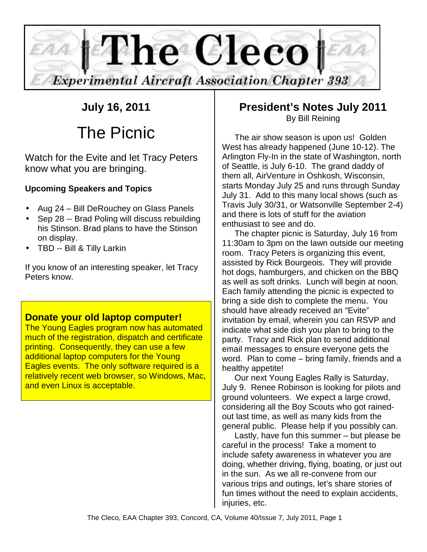

# **July 16, 2011**

# The Picnic

Watch for the Evite and let Tracy Peters know what you are bringing.

# **Upcoming Speakers and Topics**

- Aug 24 Bill DeRouchey on Glass Panels
- Sep 28 -- Brad Poling will discuss rebuilding his Stinson. Brad plans to have the Stinson on display.
- TBD -- Bill & Tilly Larkin

If you know of an interesting speaker, let Tracy Peters know.

## **Donate your old laptop computer!**

The Young Eagles program now has automated much of the registration, dispatch and certificate printing. Consequently, they can use a few additional laptop computers for the Young Eagles events. The only software required is a relatively recent web browser, so Windows, Mac, and even Linux is acceptable.

# **President's Notes July 2011**  By Bill Reining

The air show season is upon us! Golden West has already happened (June 10-12). The Arlington Fly-In in the state of Washington, north of Seattle, is July 6-10. The grand daddy of them all, AirVenture in Oshkosh, Wisconsin, starts Monday July 25 and runs through Sunday July 31. Add to this many local shows (such as Travis July 30/31, or Watsonville September 2-4) and there is lots of stuff for the aviation enthusiast to see and do.

The chapter picnic is Saturday, July 16 from 11:30am to 3pm on the lawn outside our meeting room. Tracy Peters is organizing this event, assisted by Rick Bourgeois. They will provide hot dogs, hamburgers, and chicken on the BBQ as well as soft drinks. Lunch will begin at noon. Each family attending the picnic is expected to bring a side dish to complete the menu. You should have already received an "Evite" invitation by email, wherein you can RSVP and indicate what side dish you plan to bring to the party. Tracy and Rick plan to send additional email messages to ensure everyone gets the word. Plan to come – bring family, friends and a healthy appetite!

Our next Young Eagles Rally is Saturday, July 9. Renee Robinson is looking for pilots and ground volunteers. We expect a large crowd, considering all the Boy Scouts who got rainedout last time, as well as many kids from the general public. Please help if you possibly can.

Lastly, have fun this summer – but please be careful in the process! Take a moment to include safety awareness in whatever you are doing, whether driving, flying, boating, or just out in the sun. As we all re-convene from our various trips and outings, let's share stories of fun times without the need to explain accidents, injuries, etc.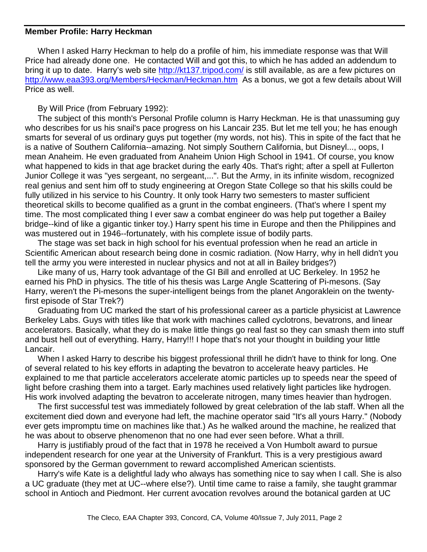#### **Member Profile: Harry Heckman**

When I asked Harry Heckman to help do a profile of him, his immediate response was that Will Price had already done one. He contacted Will and got this, to which he has added an addendum to bring it up to date. Harry's web site http://kt137.tripod.com/ is still available, as are a few pictures on http://www.eaa393.org/Members/Heckman/Heckman.htm As a bonus, we got a few details about Will Price as well.

#### By Will Price (from February 1992):

The subject of this month's Personal Profile column is Harry Heckman. He is that unassuming guy who describes for us his snail's pace progress on his Lancair 235. But let me tell you; he has enough smarts for several of us ordinary guys put together (my words, not his). This in spite of the fact that he is a native of Southern California--amazing. Not simply Southern California, but Disneyl..., oops, I mean Anaheim. He even graduated from Anaheim Union High School in 1941. Of course, you know what happened to kids in that age bracket during the early 40s. That's right; after a spell at Fullerton Junior College it was "yes sergeant, no sergeant,...". But the Army, in its infinite wisdom, recognized real genius and sent him off to study engineering at Oregon State College so that his skills could be fully utilized in his service to his Country. It only took Harry two semesters to master sufficient theoretical skills to become qualified as a grunt in the combat engineers. (That's where I spent my time. The most complicated thing I ever saw a combat engineer do was help put together a Bailey bridge--kind of like a gigantic tinker toy.) Harry spent his time in Europe and then the Philippines and was mustered out in 1946--fortunately, with his complete issue of bodily parts.

The stage was set back in high school for his eventual profession when he read an article in Scientific American about research being done in cosmic radiation. (Now Harry, why in hell didn't you tell the army you were interested in nuclear physics and not at all in Bailey bridges?)

Like many of us, Harry took advantage of the GI Bill and enrolled at UC Berkeley. In 1952 he earned his PhD in physics. The title of his thesis was Large Angle Scattering of Pi-mesons. (Say Harry, weren't the Pi-mesons the super-intelligent beings from the planet Angoraklein on the twentyfirst episode of Star Trek?)

Graduating from UC marked the start of his professional career as a particle physicist at Lawrence Berkeley Labs. Guys with titles like that work with machines called cyclotrons, bevatrons, and linear accelerators. Basically, what they do is make little things go real fast so they can smash them into stuff and bust hell out of everything. Harry, Harry!!! I hope that's not your thought in building your little Lancair.

When I asked Harry to describe his biggest professional thrill he didn't have to think for long. One of several related to his key efforts in adapting the bevatron to accelerate heavy particles. He explained to me that particle accelerators accelerate atomic particles up to speeds near the speed of light before crashing them into a target. Early machines used relatively light particles like hydrogen. His work involved adapting the bevatron to accelerate nitrogen, many times heavier than hydrogen.

The first successful test was immediately followed by great celebration of the lab staff. When all the excitement died down and everyone had left, the machine operator said "It's all yours Harry." (Nobody ever gets impromptu time on machines like that.) As he walked around the machine, he realized that he was about to observe phenomenon that no one had ever seen before. What a thrill.

Harry is justifiably proud of the fact that in 1978 he received a Von Humbolt award to pursue independent research for one year at the University of Frankfurt. This is a very prestigious award sponsored by the German government to reward accomplished American scientists.

Harry's wife Kate is a delightful lady who always has something nice to say when I call. She is also a UC graduate (they met at UC--where else?). Until time came to raise a family, she taught grammar school in Antioch and Piedmont. Her current avocation revolves around the botanical garden at UC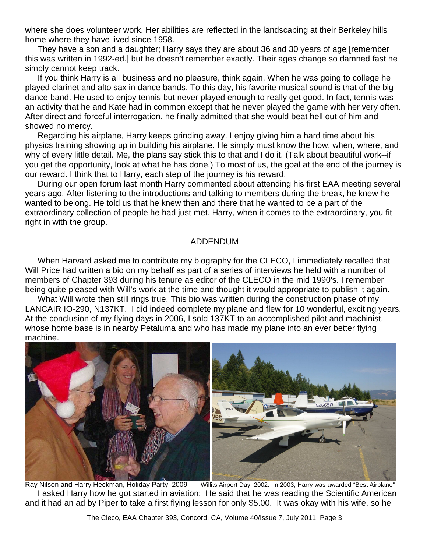where she does volunteer work. Her abilities are reflected in the landscaping at their Berkeley hills home where they have lived since 1958.

They have a son and a daughter; Harry says they are about 36 and 30 years of age [remember this was written in 1992-ed.] but he doesn't remember exactly. Their ages change so damned fast he simply cannot keep track.

If you think Harry is all business and no pleasure, think again. When he was going to college he played clarinet and alto sax in dance bands. To this day, his favorite musical sound is that of the big dance band. He used to enjoy tennis but never played enough to really get good. In fact, tennis was an activity that he and Kate had in common except that he never played the game with her very often. After direct and forceful interrogation, he finally admitted that she would beat hell out of him and showed no mercy.

Regarding his airplane, Harry keeps grinding away. I enjoy giving him a hard time about his physics training showing up in building his airplane. He simply must know the how, when, where, and why of every little detail. Me, the plans say stick this to that and I do it. (Talk about beautiful work--if you get the opportunity, look at what he has done.) To most of us, the goal at the end of the journey is our reward. I think that to Harry, each step of the journey is his reward.

During our open forum last month Harry commented about attending his first EAA meeting several years ago. After listening to the introductions and talking to members during the break, he knew he wanted to belong. He told us that he knew then and there that he wanted to be a part of the extraordinary collection of people he had just met. Harry, when it comes to the extraordinary, you fit right in with the group.

#### ADDENDUM

When Harvard asked me to contribute my biography for the CLECO, I immediately recalled that Will Price had written a bio on my behalf as part of a series of interviews he held with a number of members of Chapter 393 during his tenure as editor of the CLECO in the mid 1990's. I remember being quite pleased with Will's work at the time and thought it would appropriate to publish it again.

What Will wrote then still rings true. This bio was written during the construction phase of my LANCAIR IO-290, N137KT. I did indeed complete my plane and flew for 10 wonderful, exciting years. At the conclusion of my flying days in 2006, I sold 137KT to an accomplished pilot and machinist, whose home base is in nearby Petaluma and who has made my plane into an ever better flying machine.



Ray Nilson and Harry Heckman, Holiday Party, 2009 Willits Airport Day, 2002. In 2003, Harry was awarded "Best Airplane" I asked Harry how he got started in aviation: He said that he was reading the Scientific American and it had an ad by Piper to take a first flying lesson for only \$5.00. It was okay with his wife, so he

The Cleco, EAA Chapter 393, Concord, CA, Volume 40/Issue 7, July 2011, Page 3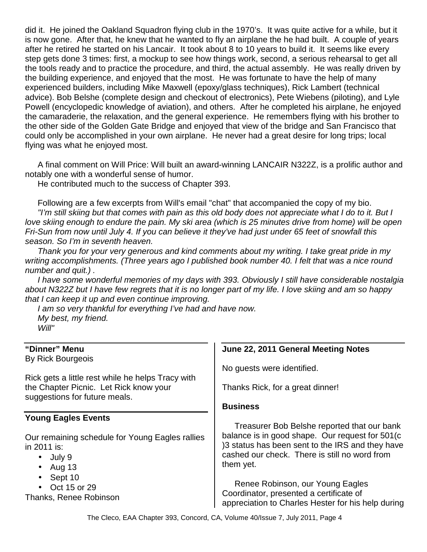did it. He joined the Oakland Squadron flying club in the 1970's. It was quite active for a while, but it is now gone. After that, he knew that he wanted to fly an airplane the he had built. A couple of years after he retired he started on his Lancair. It took about 8 to 10 years to build it. It seems like every step gets done 3 times: first, a mockup to see how things work, second, a serious rehearsal to get all the tools ready and to practice the procedure, and third, the actual assembly. He was really driven by the building experience, and enjoyed that the most. He was fortunate to have the help of many experienced builders, including Mike Maxwell (epoxy/glass techniques), Rick Lambert (technical advice). Bob Belshe (complete design and checkout of electronics), Pete Wiebens (piloting), and Lyle Powell (encyclopedic knowledge of aviation), and others. After he completed his airplane, he enjoyed the camaraderie, the relaxation, and the general experience. He remembers flying with his brother to the other side of the Golden Gate Bridge and enjoyed that view of the bridge and San Francisco that could only be accomplished in your own airplane. He never had a great desire for long trips; local flying was what he enjoyed most.

A final comment on Will Price: Will built an award-winning LANCAIR N322Z, is a prolific author and notably one with a wonderful sense of humor.

He contributed much to the success of Chapter 393.

Following are a few excerpts from Will's email "chat" that accompanied the copy of my bio. "I'm still skiing but that comes with pain as this old body does not appreciate what I do to it. But I love skiing enough to endure the pain. My ski area (which is 25 minutes drive from home) will be open Fri-Sun from now until July 4. If you can believe it they've had just under 65 feet of snowfall this season. So I'm in seventh heaven.

Thank you for your very generous and kind comments about my writing. I take great pride in my writing accomplishments. (Three years ago I published book number 40. I felt that was a nice round number and quit.) .

I have some wonderful memories of my days with 393. Obviously I still have considerable nostalgia about N322Z but I have few regrets that it is no longer part of my life. I love skiing and am so happy that I can keep it up and even continue improving.

I am so very thankful for everything I've had and have now. My best, my friend. Will"

#### **"Dinner" Menu**

By Rick Bourgeois

Rick gets a little rest while he helps Tracy with the Chapter Picnic. Let Rick know your suggestions for future meals.

#### **Young Eagles Events**

Our remaining schedule for Young Eagles rallies in 2011 is:

- July 9
- Aug 13
- Sept 10
- Oct 15 or 29

Thanks, Renee Robinson

## **June 22, 2011 General Meeting Notes**

No guests were identified.

Thanks Rick, for a great dinner!

#### **Business**

Treasurer Bob Belshe reported that our bank balance is in good shape. Our request for 501(c )3 status has been sent to the IRS and they have cashed our check. There is still no word from them yet.

Renee Robinson, our Young Eagles Coordinator, presented a certificate of appreciation to Charles Hester for his help during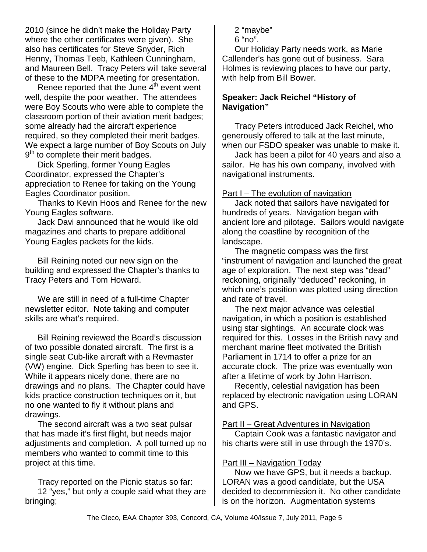2010 (since he didn't make the Holiday Party where the other certificates were given). She also has certificates for Steve Snyder, Rich Henny, Thomas Teeb, Kathleen Cunningham, and Maureen Bell. Tracy Peters will take several of these to the MDPA meeting for presentation.

Renee reported that the June  $4<sup>th</sup>$  event went well, despite the poor weather. The attendees were Boy Scouts who were able to complete the classroom portion of their aviation merit badges; some already had the aircraft experience required, so they completed their merit badges. We expect a large number of Boy Scouts on July 9<sup>th</sup> to complete their merit badges.

Dick Sperling, former Young Eagles Coordinator, expressed the Chapter's appreciation to Renee for taking on the Young Eagles Coordinator position.

Thanks to Kevin Hoos and Renee for the new Young Eagles software.

Jack Davi announced that he would like old magazines and charts to prepare additional Young Eagles packets for the kids.

Bill Reining noted our new sign on the building and expressed the Chapter's thanks to Tracy Peters and Tom Howard.

We are still in need of a full-time Chapter newsletter editor. Note taking and computer skills are what's required.

Bill Reining reviewed the Board's discussion of two possible donated aircraft. The first is a single seat Cub-like aircraft with a Revmaster (VW) engine. Dick Sperling has been to see it. While it appears nicely done, there are no drawings and no plans. The Chapter could have kids practice construction techniques on it, but no one wanted to fly it without plans and drawings.

The second aircraft was a two seat pulsar that has made it's first flight, but needs major adjustments and completion. A poll turned up no members who wanted to commit time to this project at this time.

Tracy reported on the Picnic status so far: 12 "yes," but only a couple said what they are bringing;

2 "maybe"

6 "no".

Our Holiday Party needs work, as Marie Callender's has gone out of business. Sara Holmes is reviewing places to have our party, with help from Bill Bower.

#### **Speaker: Jack Reichel "History of Navigation"**

Tracy Peters introduced Jack Reichel, who generously offered to talk at the last minute, when our FSDO speaker was unable to make it.

Jack has been a pilot for 40 years and also a sailor. He has his own company, involved with navigational instruments.

#### Part I – The evolution of navigation

Jack noted that sailors have navigated for hundreds of years. Navigation began with ancient lore and pilotage. Sailors would navigate along the coastline by recognition of the landscape.

The magnetic compass was the first "instrument of navigation and launched the great age of exploration. The next step was "dead" reckoning, originally "deduced" reckoning, in which one's position was plotted using direction and rate of travel.

The next major advance was celestial navigation, in which a position is established using star sightings. An accurate clock was required for this. Losses in the British navy and merchant marine fleet motivated the British Parliament in 1714 to offer a prize for an accurate clock. The prize was eventually won after a lifetime of work by John Harrison.

Recently, celestial navigation has been replaced by electronic navigation using LORAN and GPS.

#### Part II – Great Adventures in Navigation

Captain Cook was a fantastic navigator and his charts were still in use through the 1970's.

#### Part III – Navigation Today

Now we have GPS, but it needs a backup. LORAN was a good candidate, but the USA decided to decommission it. No other candidate is on the horizon. Augmentation systems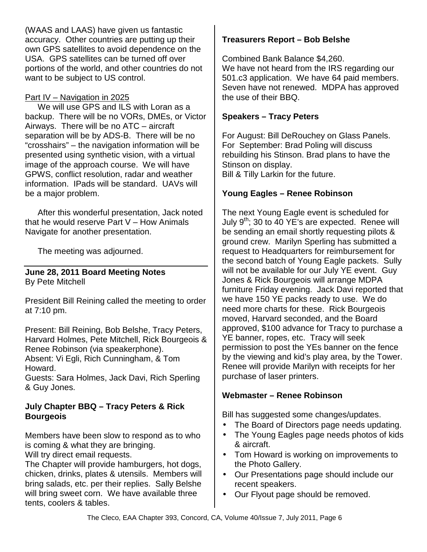(WAAS and LAAS) have given us fantastic accuracy. Other countries are putting up their own GPS satellites to avoid dependence on the USA. GPS satellites can be turned off over portions of the world, and other countries do not want to be subject to US control.

#### Part IV – Navigation in 2025

We will use GPS and ILS with Loran as a backup. There will be no VORs, DMEs, or Victor Airways. There will be no ATC – aircraft separation will be by ADS-B. There will be no "crosshairs" – the navigation information will be presented using synthetic vision, with a virtual image of the approach course. We will have GPWS, conflict resolution, radar and weather information. IPads will be standard. UAVs will be a major problem.

After this wonderful presentation, Jack noted that he would reserve Part V – How Animals Navigate for another presentation.

The meeting was adjourned.

#### **June 28, 2011 Board Meeting Notes**  By Pete Mitchell

President Bill Reining called the meeting to order at 7:10 pm.

Present: Bill Reining, Bob Belshe, Tracy Peters, Harvard Holmes, Pete Mitchell, Rick Bourgeois & Renee Robinson (via speakerphone).

Absent: Vi Egli, Rich Cunningham, & Tom Howard.

Guests: Sara Holmes, Jack Davi, Rich Sperling & Guy Jones.

#### **July Chapter BBQ – Tracy Peters & Rick Bourgeois**

Members have been slow to respond as to who is coming & what they are bringing.

Will try direct email requests.

The Chapter will provide hamburgers, hot dogs, chicken, drinks, plates & utensils. Members will bring salads, etc. per their replies. Sally Belshe will bring sweet corn. We have available three tents, coolers & tables.

#### **Treasurers Report – Bob Belshe**

Combined Bank Balance \$4,260.

We have not heard from the IRS regarding our 501.c3 application. We have 64 paid members. Seven have not renewed. MDPA has approved the use of their BBQ.

#### **Speakers – Tracy Peters**

For August: Bill DeRouchey on Glass Panels. For September: Brad Poling will discuss rebuilding his Stinson. Brad plans to have the Stinson on display.

Bill & Tilly Larkin for the future.

#### **Young Eagles – Renee Robinson**

The next Young Eagle event is scheduled for July  $9^{th}$ ; 30 to 40 YE's are expected. Renee will be sending an email shortly requesting pilots & ground crew. Marilyn Sperling has submitted a request to Headquarters for reimbursement for the second batch of Young Eagle packets. Sully will not be available for our July YE event. Guy Jones & Rick Bourgeois will arrange MDPA furniture Friday evening. Jack Davi reported that we have 150 YE packs ready to use. We do need more charts for these. Rick Bourgeois moved, Harvard seconded, and the Board approved, \$100 advance for Tracy to purchase a YE banner, ropes, etc. Tracy will seek permission to post the YEs banner on the fence by the viewing and kid's play area, by the Tower. Renee will provide Marilyn with receipts for her purchase of laser printers.

#### **Webmaster – Renee Robinson**

Bill has suggested some changes/updates.

- The Board of Directors page needs updating.
- The Young Eagles page needs photos of kids & aircraft.
- Tom Howard is working on improvements to the Photo Gallery.
- Our Presentations page should include our recent speakers.
- Our Flyout page should be removed.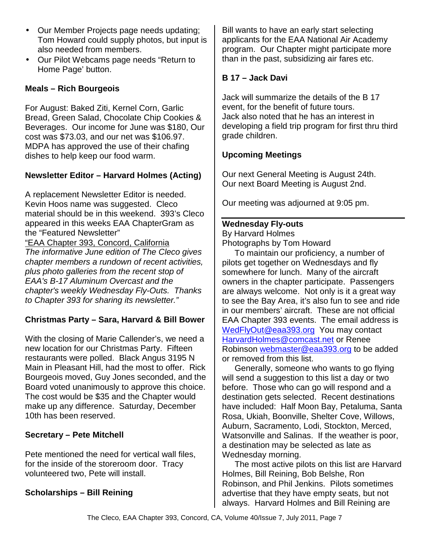- Our Member Projects page needs updating; Tom Howard could supply photos, but input is also needed from members.
- Our Pilot Webcams page needs "Return to Home Page' button.

#### **Meals – Rich Bourgeois**

For August: Baked Ziti, Kernel Corn, Garlic Bread, Green Salad, Chocolate Chip Cookies & Beverages. Our income for June was \$180, Our cost was \$73.03, and our net was \$106.97. MDPA has approved the use of their chafing dishes to help keep our food warm.

## **Newsletter Editor – Harvard Holmes (Acting)**

A replacement Newsletter Editor is needed. Kevin Hoos name was suggested. Cleco material should be in this weekend. 393's Cleco appeared in this weeks EAA ChapterGram as the "Featured Newsletter" "EAA Chapter 393, Concord, California The informative June edition of The Cleco gives chapter members a rundown of recent activities, plus photo galleries from the recent stop of

EAA's B-17 Aluminum Overcast and the chapter's weekly Wednesday Fly-Outs. Thanks to Chapter 393 for sharing its newsletter."

#### **Christmas Party – Sara, Harvard & Bill Bower**

With the closing of Marie Callender's, we need a new location for our Christmas Party. Fifteen restaurants were polled. Black Angus 3195 N Main in Pleasant Hill, had the most to offer. Rick Bourgeois moved, Guy Jones seconded, and the Board voted unanimously to approve this choice. The cost would be \$35 and the Chapter would make up any difference. Saturday, December 10th has been reserved.

#### **Secretary – Pete Mitchell**

Pete mentioned the need for vertical wall files, for the inside of the storeroom door. Tracy volunteered two, Pete will install.

#### **Scholarships – Bill Reining**

Bill wants to have an early start selecting applicants for the EAA National Air Academy program. Our Chapter might participate more than in the past, subsidizing air fares etc.

#### **B 17 – Jack Davi**

Jack will summarize the details of the B 17 event, for the benefit of future tours. Jack also noted that he has an interest in developing a field trip program for first thru third grade children.

#### **Upcoming Meetings**

Our next General Meeting is August 24th. Our next Board Meeting is August 2nd.

Our meeting was adjourned at 9:05 pm.

#### **Wednesday Fly-outs**

By Harvard Holmes Photographs by Tom Howard

To maintain our proficiency, a number of pilots get together on Wednesdays and fly somewhere for lunch. Many of the aircraft owners in the chapter participate. Passengers are always welcome. Not only is it a great way to see the Bay Area, it's also fun to see and ride in our members' aircraft. These are not official EAA Chapter 393 events. The email address is WedFlyOut@eaa393.org You may contact HarvardHolmes@comcast.net or Renee Robinson webmaster@eaa393.org to be added or removed from this list.

Generally, someone who wants to go flying will send a suggestion to this list a day or two before. Those who can go will respond and a destination gets selected. Recent destinations have included: Half Moon Bay, Petaluma, Santa Rosa, Ukiah, Boonville, Shelter Cove, Willows, Auburn, Sacramento, Lodi, Stockton, Merced, Watsonville and Salinas. If the weather is poor, a destination may be selected as late as Wednesday morning.

The most active pilots on this list are Harvard Holmes, Bill Reining, Bob Belshe, Ron Robinson, and Phil Jenkins. Pilots sometimes advertise that they have empty seats, but not always. Harvard Holmes and Bill Reining are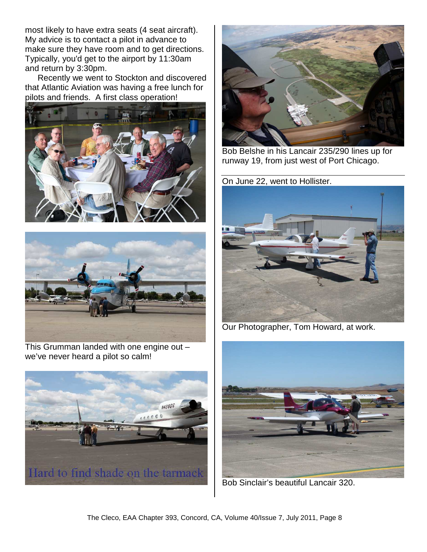most likely to have extra seats (4 seat aircraft). My advice is to contact a pilot in advance to make sure they have room and to get directions. Typically, you'd get to the airport by 11:30am and return by 3:30pm.

Recently we went to Stockton and discovered that Atlantic Aviation was having a free lunch for pilots and friends. A first class operation!





This Grumman landed with one engine out – we've never heard a pilot so calm!





Bob Belshe in his Lancair 235/290 lines up for runway 19, from just west of Port Chicago.

On June 22, went to Hollister.



Our Photographer, Tom Howard, at work.



Bob Sinclair's beautiful Lancair 320.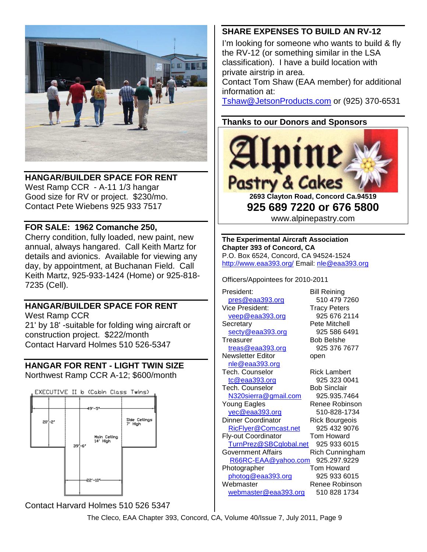

**HANGAR/BUILDER SPACE FOR RENT** 

West Ramp CCR - A-11 1/3 hangar Good size for RV or project. \$230/mo. Contact Pete Wiebens 925 933 7517

#### **FOR SALE: 1962 Comanche 250,**

Cherry condition, fully loaded, new paint, new annual, always hangared. Call Keith Martz for details and avionics. Available for viewing any day, by appointment, at Buchanan Field. Call Keith Martz, 925-933-1424 (Home) or 925-818- 7235 (Cell).

# **HANGAR/BUILDER SPACE FOR RENT**

West Ramp CCR 21' by 18' -suitable for folding wing aircraft or construction project. \$222/month Contact Harvard Holmes 510 526-5347

#### **HANGAR FOR RENT - LIGHT TWIN SIZE**  Northwest Ramp CCR A-12; \$600/month



Contact Harvard Holmes 510 526 5347

## **SHARE EXPENSES TO BUILD AN RV-12**

I'm looking for someone who wants to build & fly the RV-12 (or something similar in the LSA classification). I have a build location with private airstrip in area.

Contact Tom Shaw (EAA member) for additional information at:

Tshaw@JetsonProducts.com or (925) 370-6531

#### **Thanks to our Donors and Sponsors**



**925 689 7220 or 676 5800**  www.alpinepastry.com

**The Experimental Aircraft Association Chapter 393 of Concord, CA**  P.O. Box 6524, Concord, CA 94524-1524 http://www.eaa393.org/ Email: nle@eaa393.org

Officers/Appointees for 2010-2011

President: Bill Reining pres@eaa393.org 510 479 7260 Vice President: Tracy Peters veep@eaa393.org 925 676 2114 Secretary **Pete Mitchell** secty@eaa393.org 925 586 6491 Treasurer Bob Belshe treas@eaa393.org 925 376 7677 Newsletter Editor open nle@eaa393.org Tech. Counselor **Rick Lambert** tc@eaa393.org 925 323 0041 Tech. Counselor Bob Sinclair N320sierra@gmail.com 925.935.7464 Young Eagles Renee Robinson yec@eaa393.org 510-828-1734 Dinner Coordinator Rick Bourgeois RicFlyer@Comcast.net 925 432 9076 Fly-out Coordinator Tom Howard TurnPrez@SBCglobal.net 925 933 6015 Government Affairs **Rich Cunningham**  R66RC-EAA@yahoo.com 925.297.9229 Photographer Tom Howard photog@eaa393.org 925 933 6015 Webmaster Renee Robinson webmaster@eaa393.org 510 828 1734

The Cleco, EAA Chapter 393, Concord, CA, Volume 40/Issue 7, July 2011, Page 9